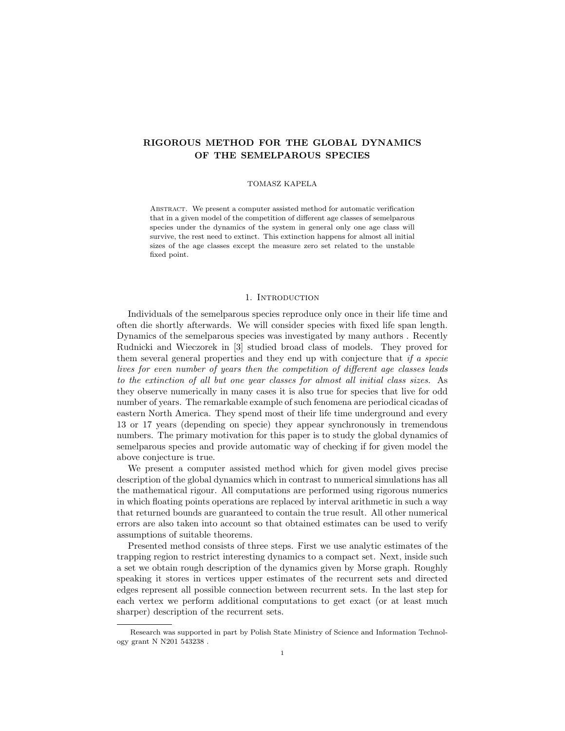# RIGOROUS METHOD FOR THE GLOBAL DYNAMICS OF THE SEMELPAROUS SPECIES

### TOMASZ KAPELA

ABSTRACT. We present a computer assisted method for automatic verification that in a given model of the competition of different age classes of semelparous species under the dynamics of the system in general only one age class will survive, the rest need to extinct. This extinction happens for almost all initial sizes of the age classes except the measure zero set related to the unstable fixed point.

#### 1. INTRODUCTION

Individuals of the semelparous species reproduce only once in their life time and often die shortly afterwards. We will consider species with fixed life span length. Dynamics of the semelparous species was investigated by many authors . Recently Rudnicki and Wieczorek in [3] studied broad class of models. They proved for them several general properties and they end up with conjecture that if a specie lives for even number of years then the competition of different age classes leads to the extinction of all but one year classes for almost all initial class sizes. As they observe numerically in many cases it is also true for species that live for odd number of years. The remarkable example of such fenomena are periodical cicadas of eastern North America. They spend most of their life time underground and every 13 or 17 years (depending on specie) they appear synchronously in tremendous numbers. The primary motivation for this paper is to study the global dynamics of semelparous species and provide automatic way of checking if for given model the above conjecture is true.

We present a computer assisted method which for given model gives precise description of the global dynamics which in contrast to numerical simulations has all the mathematical rigour. All computations are performed using rigorous numerics in which floating points operations are replaced by interval arithmetic in such a way that returned bounds are guaranteed to contain the true result. All other numerical errors are also taken into account so that obtained estimates can be used to verify assumptions of suitable theorems.

Presented method consists of three steps. First we use analytic estimates of the trapping region to restrict interesting dynamics to a compact set. Next, inside such a set we obtain rough description of the dynamics given by Morse graph. Roughly speaking it stores in vertices upper estimates of the recurrent sets and directed edges represent all possible connection between recurrent sets. In the last step for each vertex we perform additional computations to get exact (or at least much sharper) description of the recurrent sets.

Research was supported in part by Polish State Ministry of Science and Information Technology grant N N201 543238 .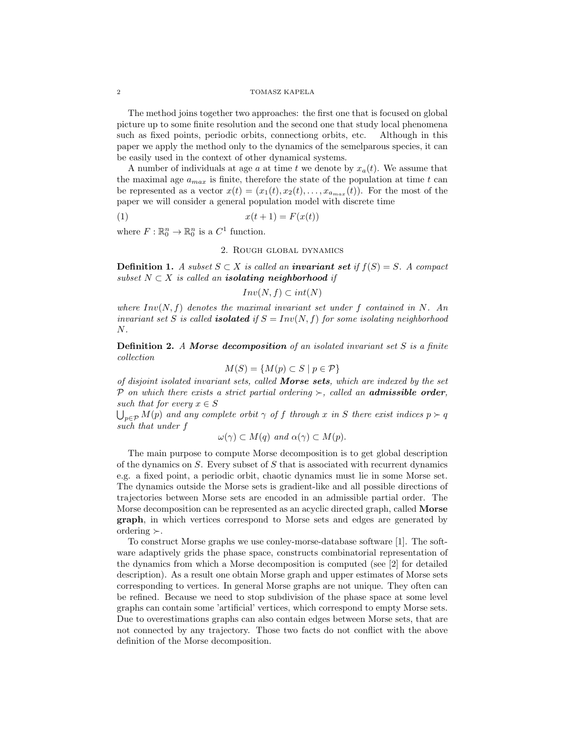#### 2 TOMASZ KAPELA

The method joins together two approaches: the first one that is focused on global picture up to some finite resolution and the second one that study local phenomena such as fixed points, periodic orbits, connectiong orbits, etc. Although in this paper we apply the method only to the dynamics of the semelparous species, it can be easily used in the context of other dynamical systems.

A number of individuals at age a at time t we denote by  $x_a(t)$ . We assume that the maximal age  $a_{max}$  is finite, therefore the state of the population at time  $t$  can be represented as a vector  $x(t) = (x_1(t), x_2(t), \ldots, x_{a_{max}}(t))$ . For the most of the paper we will consider a general population model with discrete time

$$
(1) \qquad \qquad x(t+1) = F(x(t))
$$

where  $F: \mathbb{R}^n_0 \to \mathbb{R}^n_0$  is a  $C^1$  function.

# 2. Rough global dynamics

**Definition 1.** A subset  $S \subset X$  is called an **invariant set** if  $f(S) = S$ . A compact subset  $N \subset X$  is called an **isolating neighborhood** if

$$
Inv(N, f) \subset int(N)
$$

where  $Inv(N, f)$  denotes the maximal invariant set under f contained in N. An invariant set S is called **isolated** if  $S = Inv(N, f)$  for some isolating neighborhood N.

**Definition 2.** A Morse decomposition of an isolated invariant set  $S$  is a finite collection

$$
M(S) = \{ M(p) \subset S \mid p \in \mathcal{P} \}
$$

of disjoint isolated invariant sets, called Morse sets, which are indexed by the set P on which there exists a strict partial ordering  $\succ$ , called an **admissible order**, such that for every  $x \in S$ 

 $\bigcup_{p\in\mathcal{P}}M(p)$  and any complete orbit  $\gamma$  of f through x in S there exist indices  $p\succ q$ such that under f

$$
\omega(\gamma) \subset M(q) \text{ and } \alpha(\gamma) \subset M(p).
$$

The main purpose to compute Morse decomposition is to get global description of the dynamics on  $S$ . Every subset of  $S$  that is associated with recurrent dynamics e.g. a fixed point, a periodic orbit, chaotic dynamics must lie in some Morse set. The dynamics outside the Morse sets is gradient-like and all possible directions of trajectories between Morse sets are encoded in an admissible partial order. The Morse decomposition can be represented as an acyclic directed graph, called Morse graph, in which vertices correspond to Morse sets and edges are generated by ordering  $\succ$ .

To construct Morse graphs we use conley-morse-database software [1]. The software adaptively grids the phase space, constructs combinatorial representation of the dynamics from which a Morse decomposition is computed (see [2] for detailed description). As a result one obtain Morse graph and upper estimates of Morse sets corresponding to vertices. In general Morse graphs are not unique. They often can be refined. Because we need to stop subdivision of the phase space at some level graphs can contain some 'artificial' vertices, which correspond to empty Morse sets. Due to overestimations graphs can also contain edges between Morse sets, that are not connected by any trajectory. Those two facts do not conflict with the above definition of the Morse decomposition.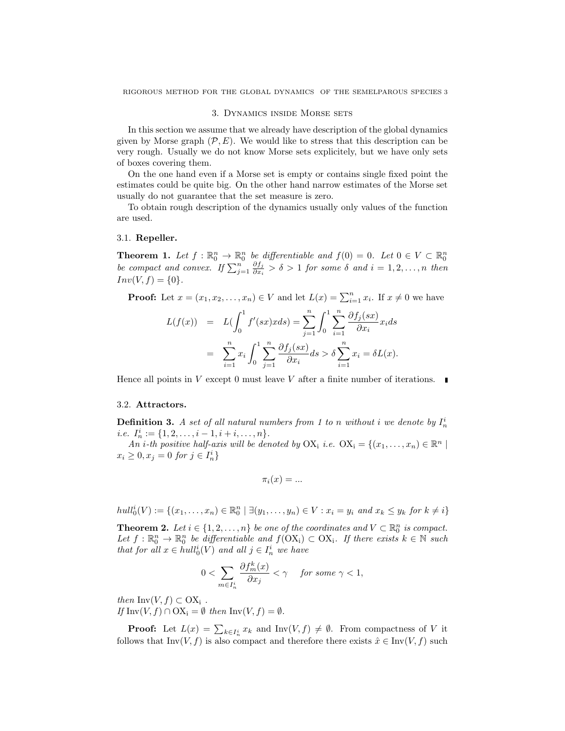#### 3. Dynamics inside Morse sets

In this section we assume that we already have description of the global dynamics given by Morse graph  $(\mathcal{P}, E)$ . We would like to stress that this description can be very rough. Usually we do not know Morse sets explicitely, but we have only sets of boxes covering them.

On the one hand even if a Morse set is empty or contains single fixed point the estimates could be quite big. On the other hand narrow estimates of the Morse set usually do not guarantee that the set measure is zero.

To obtain rough description of the dynamics usually only values of the function are used.

## 3.1. Repeller.

**Theorem 1.** Let  $f : \mathbb{R}^n_0 \to \mathbb{R}^n_0$  be differentiable and  $f(0) = 0$ . Let  $0 \in V \subset \mathbb{R}^n_0$ be compact and convex. If  $\sum_{j=1}^{n} \frac{\partial f_j}{\partial x_i}$  $\frac{\partial J_j}{\partial x_i} > \delta > 1$  for some  $\delta$  and  $i = 1, 2, ..., n$  then  $Inv(V, f) = \{0\}.$ 

**Proof:** Let  $x = (x_1, x_2, \dots, x_n) \in V$  and let  $L(x) = \sum_{i=1}^n x_i$ . If  $x \neq 0$  we have

$$
L(f(x)) = L\left(\int_0^1 f'(sx)xds\right) = \sum_{j=1}^n \int_0^1 \sum_{i=1}^n \frac{\partial f_j(sx)}{\partial x_i} x_i ds
$$
  
= 
$$
\sum_{i=1}^n x_i \int_0^1 \sum_{j=1}^n \frac{\partial f_j(sx)}{\partial x_i} ds > \delta \sum_{i=1}^n x_i = \delta L(x).
$$

Hence all points in V except 0 must leave V after a finite number of iterations.  $\blacksquare$ 

## 3.2. Attractors.

**Definition 3.** A set of all natural numbers from 1 to n without i we denote by  $I_n^i$ *i.e.*  $I_n^i := \{1, 2, \ldots, i-1, i+i, \ldots, n\}.$ 

An i-th positive half-axis will be denoted by  $OX_i$  i.e.  $OX_i = \{(x_1, \ldots, x_n) \in \mathbb{R}^n \mid$  $x_i \geq 0, x_j = 0 \text{ for } j \in I_n^i$ 

$$
\pi_i(x) = \dots
$$

 $hull_0^i(V) := \{(x_1, ..., x_n) \in \mathbb{R}_0^n \mid \exists (y_1, ..., y_n) \in V : x_i = y_i \text{ and } x_k \leq y_k \text{ for } k \neq i\}$ 

**Theorem 2.** Let  $i \in \{1, 2, ..., n\}$  be one of the coordinates and  $V \subset \mathbb{R}^n_0$  is compact. Let  $f: \mathbb{R}^n_0 \to \mathbb{R}^n_0$  be differentiable and  $f(\text{OX}_i) \subset \text{OX}_i$ . If there exists  $k \in \mathbb{N}$  such that for all  $x \in hull_0^i(V)$  and all  $j \in I_n^i$  we have

$$
0<\sum_{m\in I_n^i}\frac{\partial f_m^k(x)}{\partial x_j}<\gamma\quad \textit{ for some }\gamma<1,
$$

then Inv $(V, f) \subset OX_i$ . If  $\text{Inv}(V, f) \cap \text{OX}_i = \emptyset$  then  $\text{Inv}(V, f) = \emptyset$ .

**Proof:** Let  $L(x) = \sum_{k \in I_n^i} x_k$  and  $Inv(V, f) \neq \emptyset$ . From compactness of V it follows that Inv(V, f) is also compact and therefore there exists  $\hat{x} \in \text{Inv}(V, f)$  such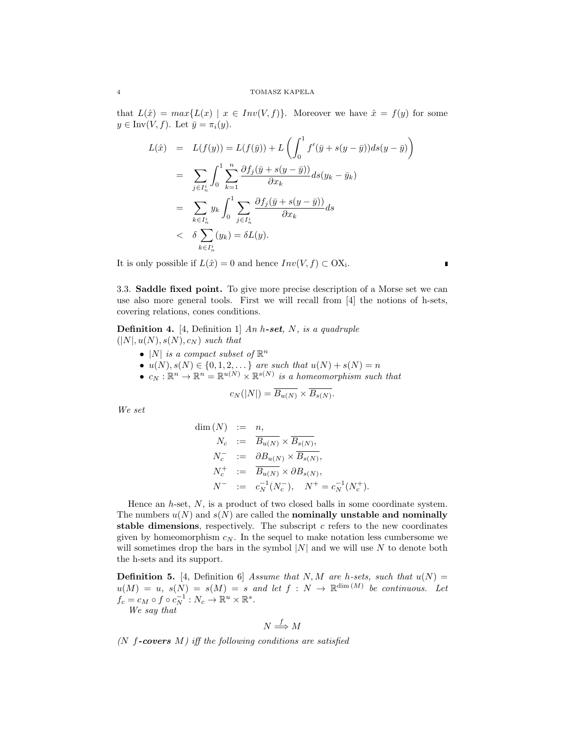that  $L(\hat{x}) = max\{L(x) | x \in Inv(V, f)\}.$  Moreover we have  $\hat{x} = f(y)$  for some  $y \in \text{Inv}(V, f)$ . Let  $\bar{y} = \pi_i(y)$ .

$$
L(\hat{x}) = L(f(y)) = L(f(\bar{y})) + L\left(\int_0^1 f'(\bar{y} + s(y - \bar{y}))ds(y - \bar{y})\right)
$$
  
\n
$$
= \sum_{j \in I_n^i} \int_0^1 \sum_{k=1}^n \frac{\partial f_j(\bar{y} + s(y - \bar{y}))}{\partial x_k} ds(y_k - \bar{y}_k)
$$
  
\n
$$
= \sum_{k \in I_n^i} y_k \int_0^1 \sum_{j \in I_n^i} \frac{\partial f_j(\bar{y} + s(y - \bar{y}))}{\partial x_k} ds
$$
  
\n
$$
< \delta \sum_{k \in I_n^i} (y_k) = \delta L(y).
$$

It is only possible if  $L(\hat{x}) = 0$  and hence  $Inv(V, f) \subset OX_i$ .

3.3. Saddle fixed point. To give more precise description of a Morse set we can use also more general tools. First we will recall from [4] the notions of h-sets, covering relations, cones conditions.

 $\blacksquare$ 

**Definition 4.** [4, Definition 1] An h-set, N, is a quadruple  $(|N|, u(N), s(N), c_N)$  such that

- |N| is a compact subset of  $\mathbb{R}^n$
- $u(N), s(N) \in \{0, 1, 2, \dots\}$  are such that  $u(N) + s(N) = n$
- $c_N : \mathbb{R}^n \to \mathbb{R}^n = \mathbb{R}^{u(N)} \times \mathbb{R}^{s(N)}$  is a homeomorphism such that

$$
c_N(|N|) = B_{u(N)} \times B_{s(N)}.
$$

We set

$$
\dim(N) := n,
$$
  
\n
$$
N_c := \overline{B_{u(N)}} \times \overline{B_{s(N)}},
$$
  
\n
$$
N_c^- := \partial B_{u(N)} \times \overline{B_{s(N)}},
$$
  
\n
$$
N_c^+ := \overline{B_{u(N)}} \times \partial B_{s(N)},
$$
  
\n
$$
N^- := c_N^{-1}(N_c^-), \quad N^+ = c_N^{-1}(N_c^+).
$$

Hence an  $h$ -set,  $N$ , is a product of two closed balls in some coordinate system. The numbers  $u(N)$  and  $s(N)$  are called the **nominally unstable and nominally** stable dimensions, respectively. The subscript  $c$  refers to the new coordinates given by homeomorphism  $c_N$ . In the sequel to make notation less cumbersome we will sometimes drop the bars in the symbol  $|N|$  and we will use N to denote both the h-sets and its support.

**Definition 5.** [4, Definition 6] Assume that N, M are h-sets, such that  $u(N) =$  $u(M) = u$ ,  $s(N) = s(M) = s$  and let  $f : N \to \mathbb{R}^{\dim(M)}$  be continuous. Let  $f_c = c_M \circ f \circ c_N^{-1} : N_c \to \mathbb{R}^u \times \mathbb{R}^s.$ We say that

$$
f_{\rm{max}}
$$

$$
N \stackrel{f}{\Longrightarrow} M
$$

 $(N \text{ f-covers } M)$  iff the following conditions are satisfied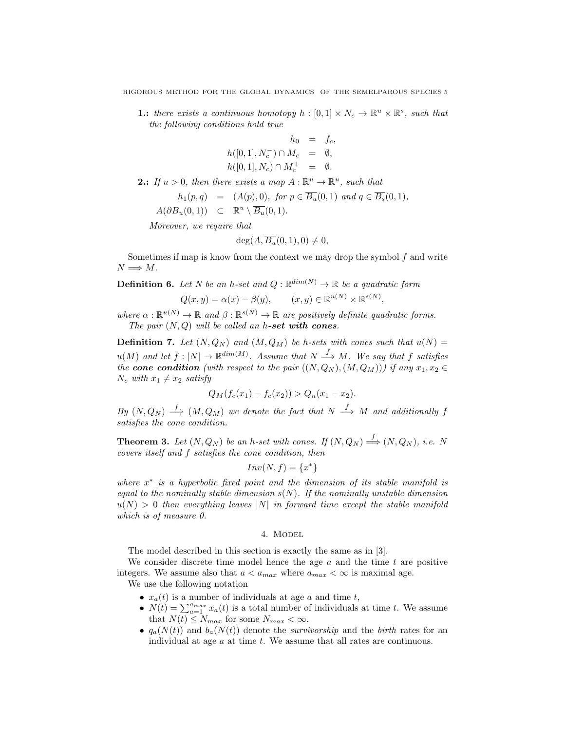**1.:** there exists a continuous homotopy  $h : [0,1] \times N_c \to \mathbb{R}^u \times \mathbb{R}^s$ , such that the following conditions hold true

$$
h_0 = f_c,
$$
  
\n
$$
h([0, 1], N_c^-) \cap M_c = \emptyset,
$$
  
\n
$$
h([0, 1], N_c) \cap M_c^+ = \emptyset.
$$

**2.:** If  $u > 0$ , then there exists a map  $A : \mathbb{R}^u \to \mathbb{R}^u$ , such that

$$
h_1(p,q) = (A(p),0), \text{ for } p \in \overline{B_u}(0,1) \text{ and } q \in \overline{B_s}(0,1),
$$

 $A(\partial B_u(0,1)) \subset \mathbb{R}^u \setminus \overline{B_u}(0,1).$ 

Moreover, we require that

$$
\deg(A, \overline{B_u}(0,1), 0) \neq 0,
$$

Sometimes if map is know from the context we may drop the symbol  $f$  and write  $N \Longrightarrow M$ .

**Definition 6.** Let N be an h-set and  $Q : \mathbb{R}^{\dim(N)} \to \mathbb{R}$  be a quadratic form

$$
Q(x, y) = \alpha(x) - \beta(y), \qquad (x, y) \in \mathbb{R}^{u(N)} \times \mathbb{R}^{s(N)},
$$

where  $\alpha : \mathbb{R}^{u(N)} \to \mathbb{R}$  and  $\beta : \mathbb{R}^{s(N)} \to \mathbb{R}$  are positively definite quadratic forms. The pair  $(N, Q)$  will be called an h-set with cones.

**Definition 7.** Let  $(N, Q_N)$  and  $(M, Q_M)$  be h-sets with cones such that  $u(N) =$  $u(M)$  and let  $f: |N| \to \mathbb{R}^{dim(M)}$ . Assume that  $N \stackrel{f}{\Longrightarrow} M$ . We say that f satisfies the cone condition (with respect to the pair  $((N, Q_N), (M, Q_M))$ ) if any  $x_1, x_2 \in$  $N_c$  with  $x_1 \neq x_2$  satisfy

$$
Q_M(f_c(x_1) - f_c(x_2)) > Q_n(x_1 - x_2).
$$

 $By(N,Q_N) \stackrel{f}{\Longrightarrow}(M,Q_M)$  we denote the fact that  $N \stackrel{f}{\Longrightarrow} M$  and additionally f satisfies the cone condition.

**Theorem 3.** Let  $(N, Q_N)$  be an h-set with cones. If  $(N, Q_N) \stackrel{f}{\Longrightarrow} (N, Q_N)$ , i.e. N covers itself and f satisfies the cone condition, then

$$
Inv(N, f) = \{x^*\}
$$

where  $x^*$  is a hyperbolic fixed point and the dimension of its stable manifold is equal to the nominally stable dimension  $s(N)$ . If the nominally unstable dimension  $u(N) > 0$  then everything leaves |N| in forward time except the stable manifold which is of measure 0.

### 4. Model

The model described in this section is exactly the same as in [3].

We consider discrete time model hence the age  $a$  and the time  $t$  are positive integers. We assume also that  $a < a_{max}$  where  $a_{max} < \infty$  is maximal age.

We use the following notation

- $x_a(t)$  is a number of individuals at age a and time t,
- $N(t) = \sum_{a=1}^{a_{max}} x_a(t)$  is a total number of individuals at time t. We assume that  $N(t) \leq N_{max}$  for some  $N_{max} < \infty$ .
- $q_a(N(t))$  and  $b_a(N(t))$  denote the *survivorship* and the *birth* rates for an individual at age  $a$  at time  $t$ . We assume that all rates are continuous.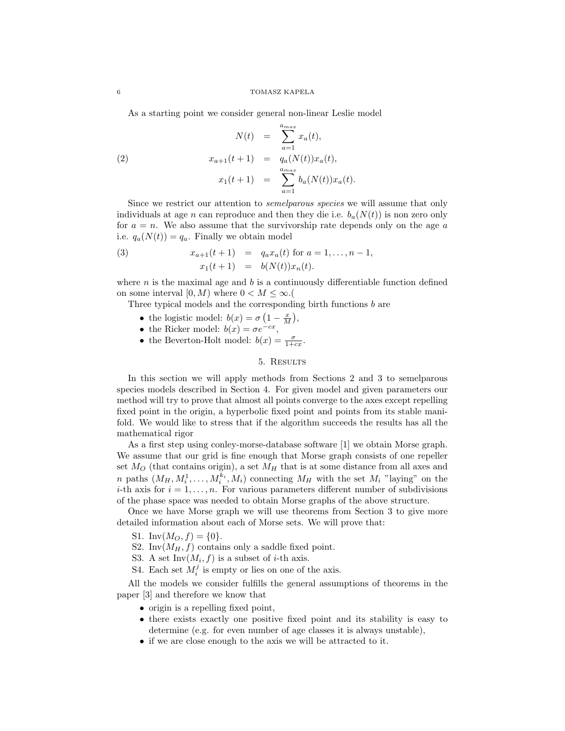As a starting point we consider general non-linear Leslie model

(2) 
$$
N(t) = \sum_{a=1}^{a_{max}} x_a(t),
$$

$$
x_{a+1}(t+1) = q_a(N(t))x_a(t),
$$

$$
x_1(t+1) = \sum_{a=1}^{a_{max}} b_a(N(t))x_a(t).
$$

Since we restrict our attention to semelparous species we will assume that only individuals at age n can reproduce and then they die i.e.  $b_a(N(t))$  is non zero only for  $a = n$ . We also assume that the survivorship rate depends only on the age a i.e.  $q_a(N(t)) = q_a$ . Finally we obtain model

(3) 
$$
x_{a+1}(t+1) = q_a x_a(t) \text{ for } a = 1,...,n-1,
$$

$$
x_1(t+1) = b(N(t))x_n(t).
$$

where  $n$  is the maximal age and  $b$  is a continuously differentiable function defined on some interval  $[0, M)$  where  $0 < M \leq \infty$ .

Three typical models and the corresponding birth functions b are

- the logistic model:  $b(x) = \sigma \left(1 \frac{x}{M}\right),$
- the Ricker model:  $b(x) = \sigma e^{-cx}$ ,
- the Beverton-Holt model:  $b(x) = \frac{\sigma}{1+cx}$ .

# 5. Results

In this section we will apply methods from Sections 2 and 3 to semelparous species models described in Section 4. For given model and given parameters our method will try to prove that almost all points converge to the axes except repelling fixed point in the origin, a hyperbolic fixed point and points from its stable manifold. We would like to stress that if the algorithm succeeds the results has all the mathematical rigor

As a first step using conley-morse-database software [1] we obtain Morse graph. We assume that our grid is fine enough that Morse graph consists of one repeller set  $M_O$  (that contains origin), a set  $M_H$  that is at some distance from all axes and *n* paths  $(M_H, M_i^1, \ldots, M_i^{k_i}, M_i)$  connecting  $M_H$  with the set  $M_i$  "laying" on the *i*-th axis for  $i = 1, ..., n$ . For various parameters different number of subdivisions of the phase space was needed to obtain Morse graphs of the above structure.

Once we have Morse graph we will use theorems from Section 3 to give more detailed information about each of Morse sets. We will prove that:

- S1. Inv $(M_O, f) = \{0\}.$
- S2. Inv $(M_H, f)$  contains only a saddle fixed point.
- S3. A set  $Inv(M_i, f)$  is a subset of *i*-th axis.
- S4. Each set  $M_i^j$  is empty or lies on one of the axis.

All the models we consider fulfills the general assumptions of theorems in the paper [3] and therefore we know that

- origin is a repelling fixed point,
- there exists exactly one positive fixed point and its stability is easy to determine (e.g. for even number of age classes it is always unstable),
- if we are close enough to the axis we will be attracted to it.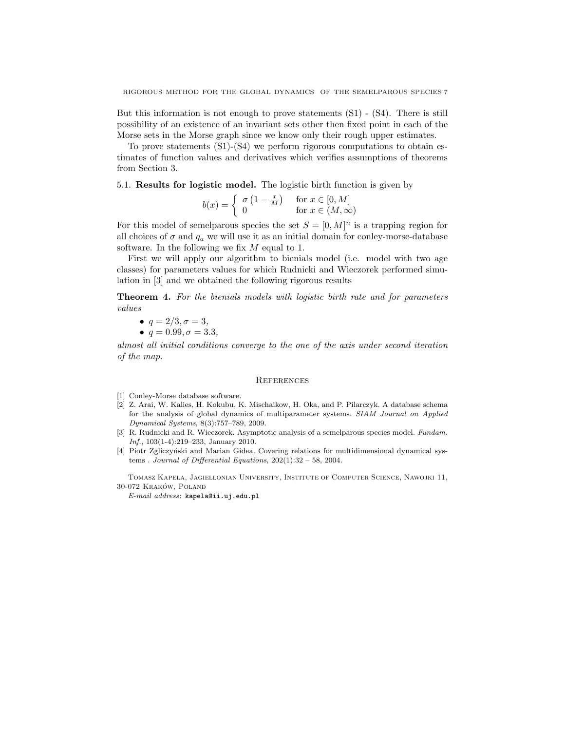But this information is not enough to prove statements (S1) - (S4). There is still possibility of an existence of an invariant sets other then fixed point in each of the Morse sets in the Morse graph since we know only their rough upper estimates.

To prove statements (S1)-(S4) we perform rigorous computations to obtain estimates of function values and derivatives which verifies assumptions of theorems from Section 3.

5.1. Results for logistic model. The logistic birth function is given by

$$
b(x) = \begin{cases} \sigma \left(1 - \frac{x}{M}\right) & \text{for } x \in [0, M] \\ 0 & \text{for } x \in (M, \infty) \end{cases}
$$

For this model of semelparous species the set  $S = [0, M]^n$  is a trapping region for all choices of  $\sigma$  and  $q_a$  we will use it as an initial domain for conley-morse-database software. In the following we fix  $M$  equal to 1.

First we will apply our algorithm to bienials model (i.e. model with two age classes) for parameters values for which Rudnicki and Wieczorek performed simulation in [3] and we obtained the following rigorous results

Theorem 4. For the bienials models with logistic birth rate and for parameters values

• 
$$
q = 2/3, \sigma = 3,
$$
  
\n•  $q = 0.99, \sigma = 3.3,$ 

almost all initial conditions converge to the one of the axis under second iteration of the map.

### **REFERENCES**

- [1] Conley-Morse database software.
- [2] Z. Arai, W. Kalies, H. Kokubu, K. Mischaikow, H. Oka, and P. Pilarczyk. A database schema for the analysis of global dynamics of multiparameter systems. SIAM Journal on Applied Dynamical Systems, 8(3):757–789, 2009.
- [3] R. Rudnicki and R. Wieczorek. Asymptotic analysis of a semelparous species model. Fundam. Inf., 103(1-4):219–233, January 2010.
- [4] Piotr Zgliczyński and Marian Gidea. Covering relations for multidimensional dynamical systems . Journal of Differential Equations,  $202(1):32 - 58$ ,  $2004$ .

Tomasz Kapela, Jagiellonian University, Institute of Computer Science, Nawojki 11, 30-072 KRAKÓW, POLAND

E-mail address: kapela@ii.uj.edu.pl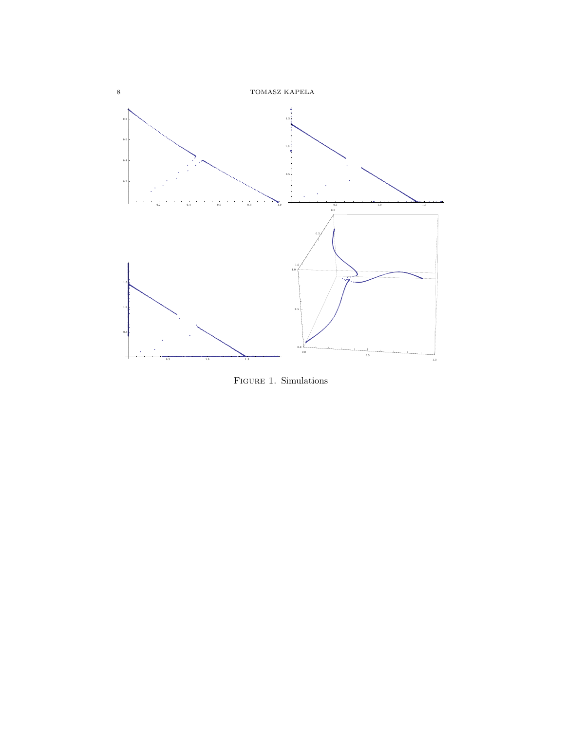

FIGURE 1. Simulations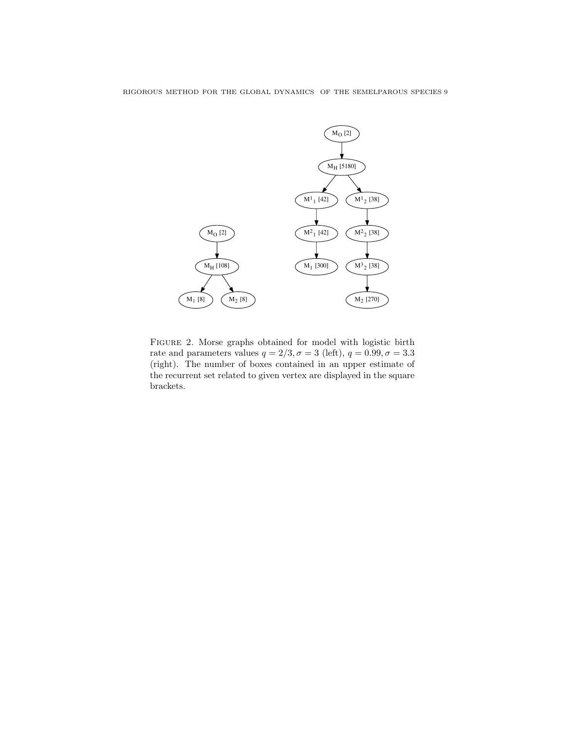

Figure 2. Morse graphs obtained for model with logistic birth rate and parameters values  $q = 2/3, \sigma = 3$  (left),  $q = 0.99, \sigma = 3.3$ (right). The number of boxes contained in an upper estimate of the recurrent set related to given vertex are displayed in the square brackets.